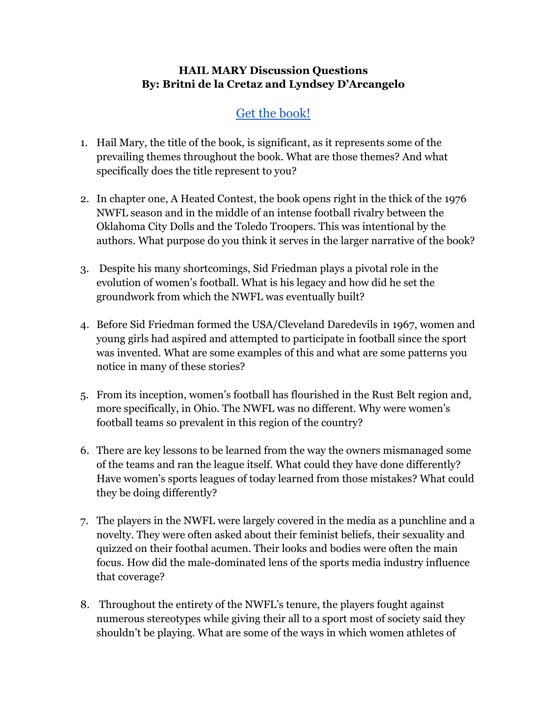## **HAIL MARY Discussion Questions By: Britni de la Cretaz and Lyndsey D'Arcangelo**

## Get the [book!](https://www.boldtypebooks.com/titles/britni-de-la-cretaz/hail-mary/9781645036623/)

- 1. Hail Mary, the title of the book, is significant, as it represents some of the prevailing themes throughout the book. What are those themes? And what specifically does the title represent to you?
- 2. In chapter one, A Heated Contest, the book opens right in the thick of the 1976 NWFL season and in the middle of an intense football rivalry between the Oklahoma City Dolls and the Toledo Troopers. This was intentional by the authors. What purpose do you think it serves in the larger narrative of the book?
- 3. Despite his many shortcomings, Sid Friedman plays a pivotal role in the evolution of women's football. What is his legacy and how did he set the groundwork from which the NWFL was eventually built?
- 4. Before Sid Friedman formed the USA/Cleveland Daredevils in 1967, women and young girls had aspired and attempted to participate in football since the sport was invented. What are some examples of this and what are some patterns you notice in many of these stories?
- 5. From its inception, women's football has flourished in the Rust Belt region and, more specifically, in Ohio. The NWFL was no different. Why were women's football teams so prevalent in this region of the country?
- 6. There are key lessons to be learned from the way the owners mismanaged some of the teams and ran the league itself. What could they have done differently? Have women's sports leagues of today learned from those mistakes? What could they be doing differently?
- 7. The players in the NWFL were largely covered in the media as a punchline and a novelty. They were often asked about their feminist beliefs, their sexuality and quizzed on their footbal acumen. Their looks and bodies were often the main focus. How did the male-dominated lens of the sports media industry influence that coverage?
- 8. Throughout the entirety of the NWFL's tenure, the players fought against numerous stereotypes while giving their all to a sport most of society said they shouldn't be playing. What are some of the ways in which women athletes of